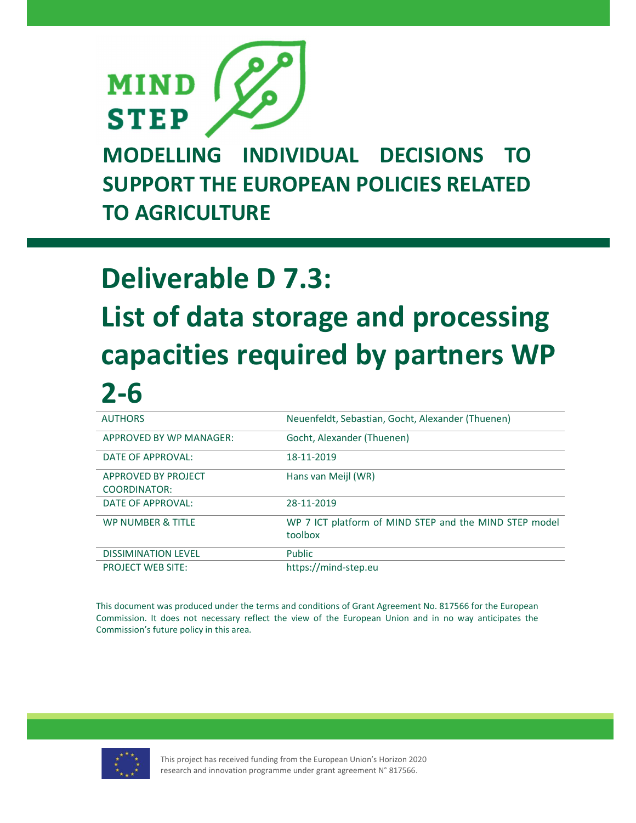

MODELLING INDIVIDUAL DECISIONS TO SUPPORT THE EUROPEAN POLICIES RELATED TO AGRICULTURE

# Deliverable D 7.3: List of data storage and processing capacities required by partners WP  $2-6$ required by partners WP  $2-6$

| <b>AUTHORS</b>                 | Neuenfeldt, Sebastian, Gocht, Alexander (Thuenen)      |  |  |
|--------------------------------|--------------------------------------------------------|--|--|
| <b>APPROVED BY WP MANAGER:</b> | Gocht, Alexander (Thuenen)                             |  |  |
| DATE OF APPROVAL:              | 18-11-2019                                             |  |  |
| APPROVED BY PROJECT            | Hans van Meijl (WR)                                    |  |  |
| COORDINATOR:                   |                                                        |  |  |
| DATE OF APPROVAL:              | 28-11-2019                                             |  |  |
| <b>WP NUMBER &amp; TITLE</b>   | WP 7 ICT platform of MIND STEP and the MIND STEP model |  |  |
|                                | toolbox                                                |  |  |
| <b>DISSIMINATION LEVEL</b>     | Public                                                 |  |  |
| <b>PROJECT WEB SITE:</b>       | https://mind-step.eu                                   |  |  |

This document was produced under the terms and conditions of Grant Agreement No. 817566 for the European Commission. It does not necessary reflect the view of the European Union and in no way anticipates the Commission's future policy in this area.



\_\_\_\_\_

This project has received funding from the European Union's Horizon 2020 research and innovation programme under grant agreement N° 817566.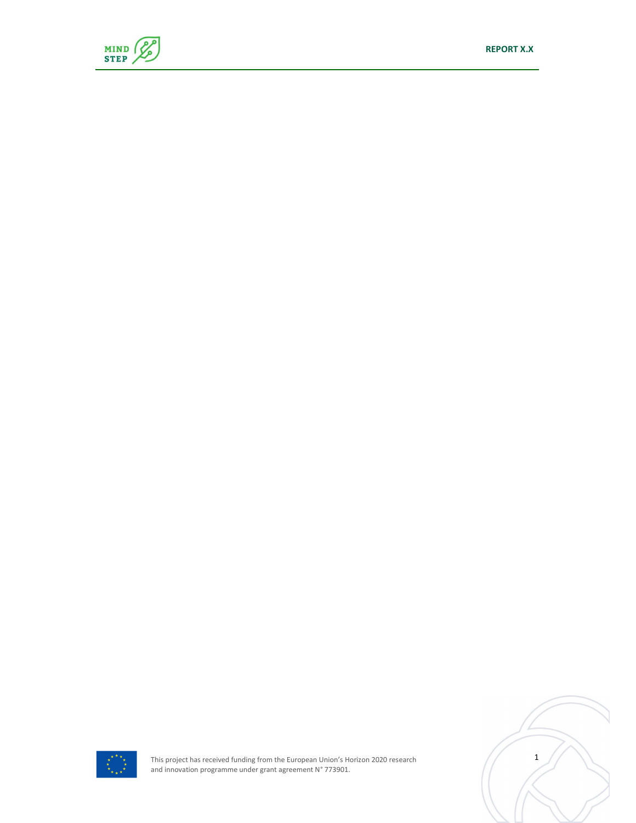





This project has received funding from the European Union's Horizon 2020 research 1 and innovation programme under grant agreement N° 773901.

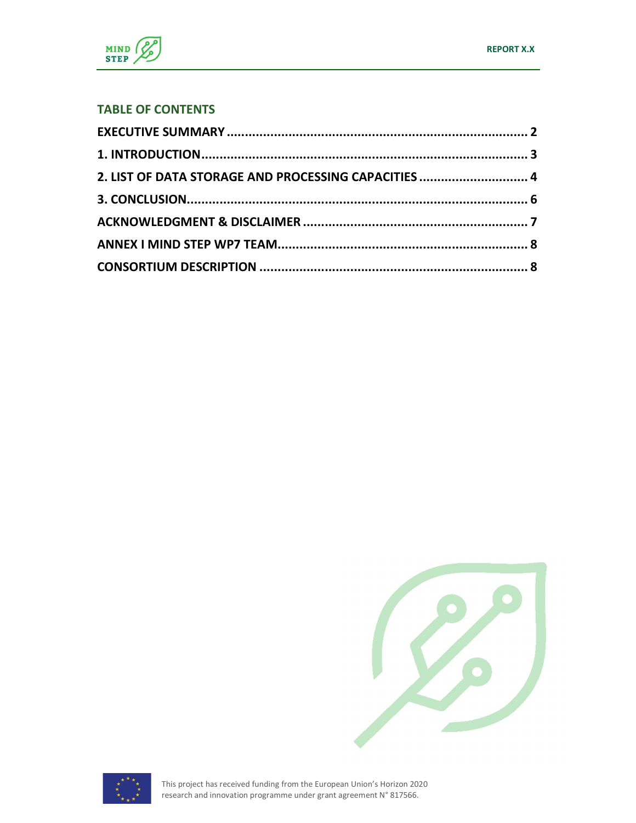

#### TABLE OF CONTENTS

| 2. LIST OF DATA STORAGE AND PROCESSING CAPACITIES  4 |  |
|------------------------------------------------------|--|
|                                                      |  |
|                                                      |  |
|                                                      |  |
|                                                      |  |





This project has received funding from the European Union's Horizon 2020 research and innovation programme under grant agreement N° 817566.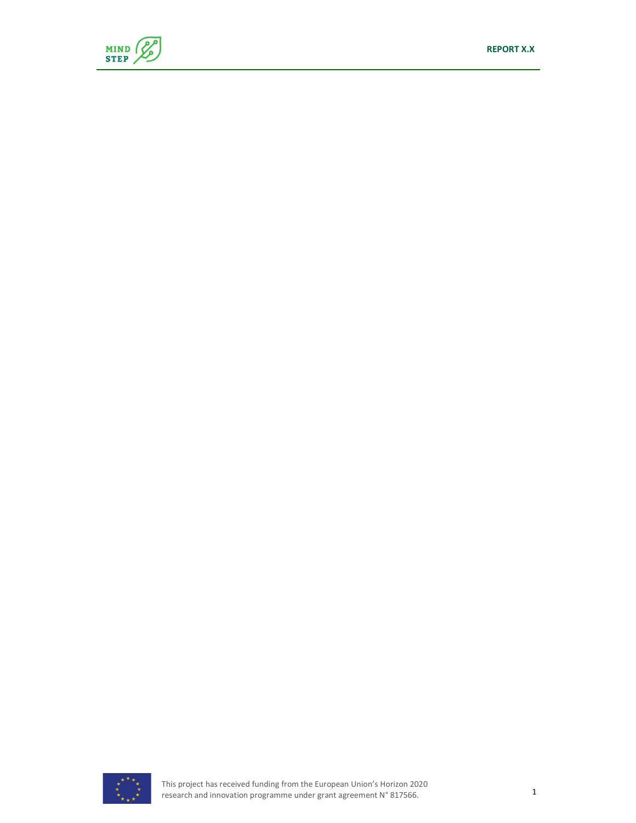



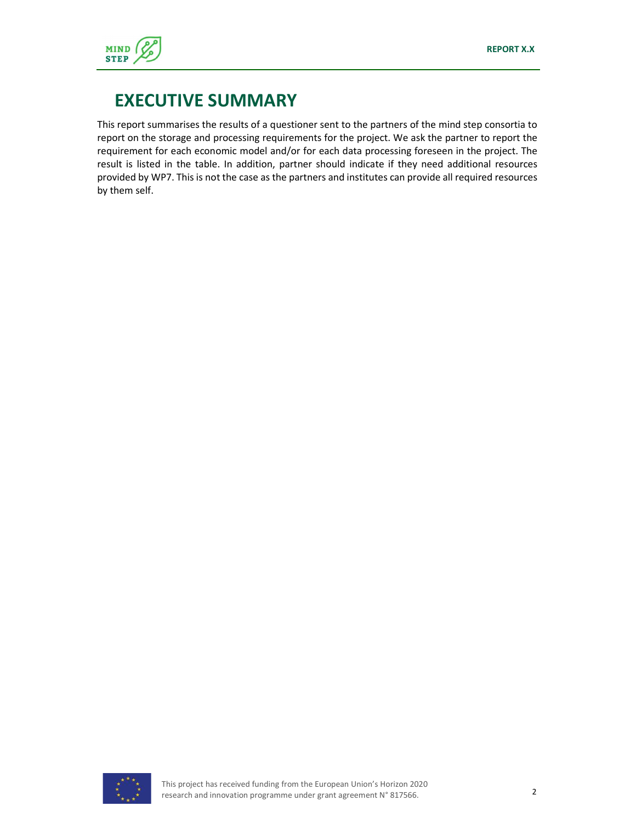

## EXECUTIVE SUMMARY

This report summarises the results of a questioner sent to the partners of the mind step consortia to report on the storage and processing requirements for the project. We ask the partner to report the requirement for each economic model and/or for each data processing foreseen in the project. The result is listed in the table. In addition, partner should indicate if they need additional resources provided by WP7. This is not the case as the partners and institutes can provide all required resources by them self.

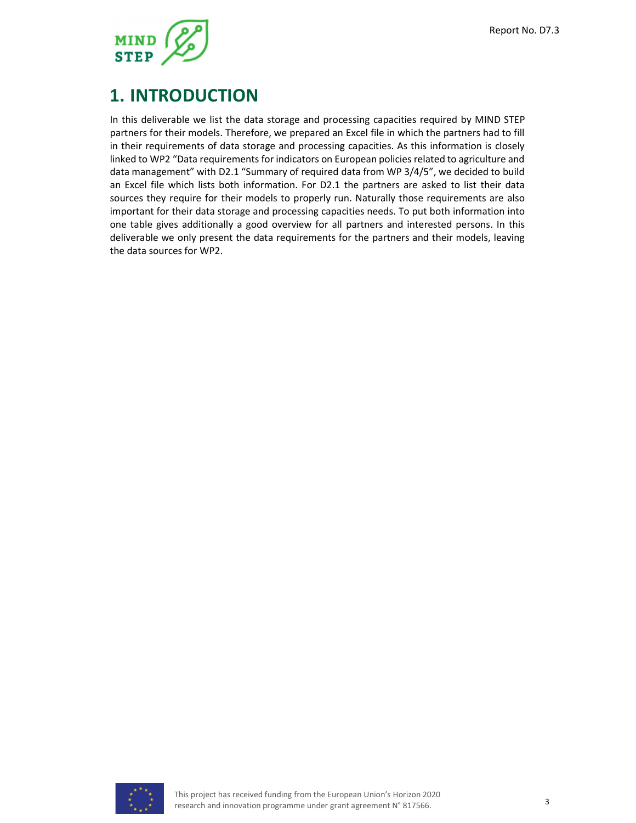

## 1. INTRODUCTION

In this deliverable we list the data storage and processing capacities required by MIND STEP partners for their models. Therefore, we prepared an Excel file in which the partners had to fill in their requirements of data storage and processing capacities. As this information is closely linked to WP2 "Data requirements for indicators on European policies related to agriculture and data management" with D2.1 "Summary of required data from WP 3/4/5", we decided to build an Excel file which lists both information. For D2.1 the partners are asked to list their data sources they require for their models to properly run. Naturally those requirements are also important for their data storage and processing capacities needs. To put both information into one table gives additionally a good overview for all partners and interested persons. In this deliverable we only present the data requirements for the partners and their models, leaving the data sources for WP2.

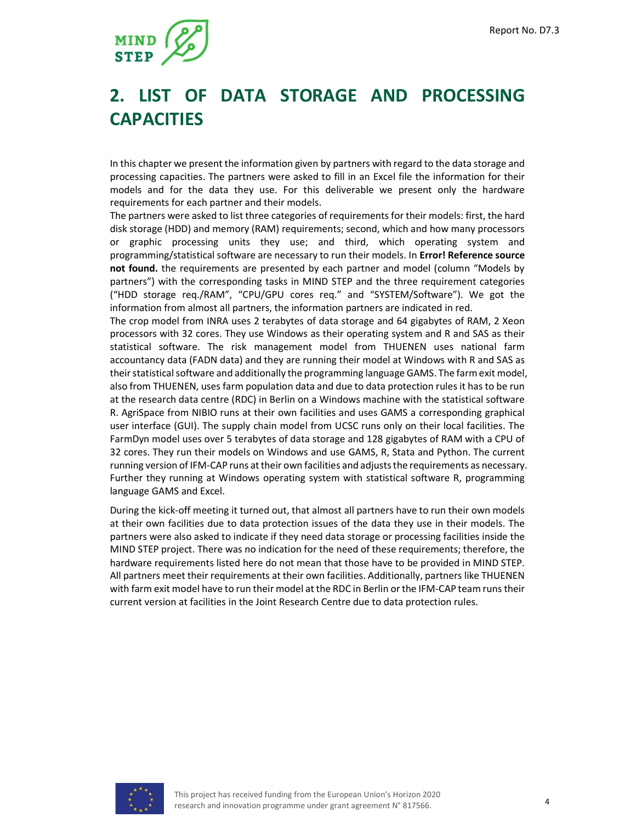

# 2. LIST OF DATA STORAGE AND PROCESSING **CAPACITIES**

In this chapter we present the information given by partners with regard to the data storage and processing capacities. The partners were asked to fill in an Excel file the information for their models and for the data they use. For this deliverable we present only the hardware requirements for each partner and their models.

The partners were asked to list three categories of requirements for their models: first, the hard disk storage (HDD) and memory (RAM) requirements; second, which and how many processors or graphic processing units they use; and third, which operating system and programming/statistical software are necessary to run their models. In Error! Reference source not found. the requirements are presented by each partner and model (column "Models by partners") with the corresponding tasks in MIND STEP and the three requirement categories ("HDD storage req./RAM", "CPU/GPU cores req." and "SYSTEM/Software"). We got the information from almost all partners, the information partners are indicated in red.

The crop model from INRA uses 2 terabytes of data storage and 64 gigabytes of RAM, 2 Xeon processors with 32 cores. They use Windows as their operating system and R and SAS as their statistical software. The risk management model from THUENEN uses national farm accountancy data (FADN data) and they are running their model at Windows with R and SAS as their statistical software and additionally the programming language GAMS. The farm exit model, also from THUENEN, uses farm population data and due to data protection rules it has to be run at the research data centre (RDC) in Berlin on a Windows machine with the statistical software R. AgriSpace from NIBIO runs at their own facilities and uses GAMS a corresponding graphical user interface (GUI). The supply chain model from UCSC runs only on their local facilities. The FarmDyn model uses over 5 terabytes of data storage and 128 gigabytes of RAM with a CPU of 32 cores. They run their models on Windows and use GAMS, R, Stata and Python. The current running version of IFM-CAP runs at their own facilities and adjusts the requirements as necessary. Further they running at Windows operating system with statistical software R, programming language GAMS and Excel.

During the kick-off meeting it turned out, that almost all partners have to run their own models at their own facilities due to data protection issues of the data they use in their models. The partners were also asked to indicate if they need data storage or processing facilities inside the MIND STEP project. There was no indication for the need of these requirements; therefore, the hardware requirements listed here do not mean that those have to be provided in MIND STEP. All partners meet their requirements at their own facilities. Additionally, partners like THUENEN with farm exit model have to run their model at the RDC in Berlin or the IFM-CAP team runs their current version at facilities in the Joint Research Centre due to data protection rules.

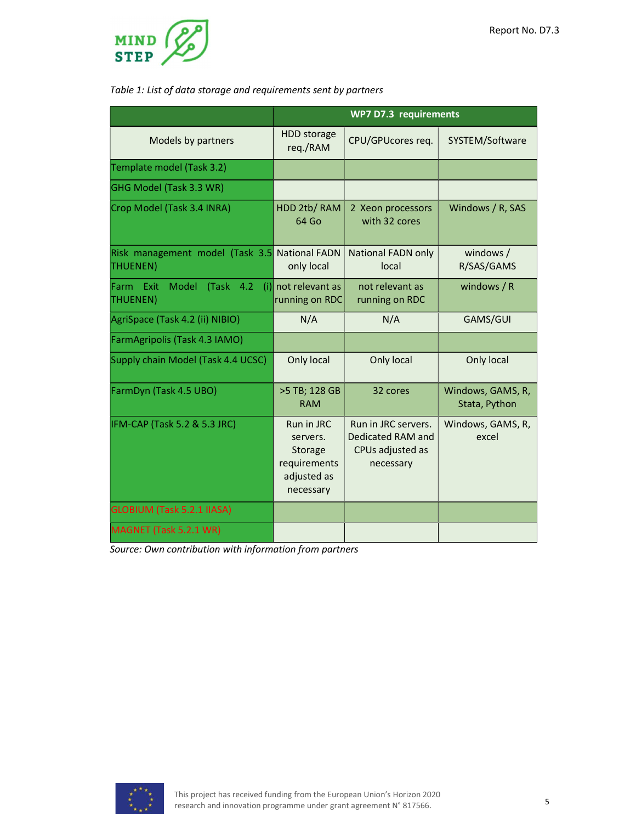

|                                                            | WP7 D7.3 requirements                                                         |                                                                           |                                    |
|------------------------------------------------------------|-------------------------------------------------------------------------------|---------------------------------------------------------------------------|------------------------------------|
| Models by partners                                         | <b>HDD</b> storage<br>req./RAM                                                | CPU/GPUcores req.                                                         | SYSTEM/Software                    |
| Template model (Task 3.2)                                  |                                                                               |                                                                           |                                    |
| GHG Model (Task 3.3 WR)                                    |                                                                               |                                                                           |                                    |
| Crop Model (Task 3.4 INRA)                                 | HDD 2tb/RAM<br>64 Go                                                          | 2 Xeon processors<br>with 32 cores                                        | Windows / R, SAS                   |
| Risk management model (Task 3.5<br><b>THUENEN)</b>         | <b>National FADN</b><br>only local                                            | <b>National FADN only</b><br>local                                        | windows /<br>R/SAS/GAMS            |
| (Task 4.2)<br>Farm Exit<br>Model<br>(i)<br><b>THUENEN)</b> | not relevant as<br>running on RDC                                             | not relevant as<br>running on RDC                                         | windows / R                        |
| AgriSpace (Task 4.2 (ii) NIBIO)                            | N/A                                                                           | N/A                                                                       | GAMS/GUI                           |
| FarmAgripolis (Task 4.3 IAMO)                              |                                                                               |                                                                           |                                    |
| Supply chain Model (Task 4.4 UCSC)                         | Only local                                                                    | Only local                                                                | Only local                         |
| FarmDyn (Task 4.5 UBO)                                     | >5 TB; 128 GB<br><b>RAM</b>                                                   | 32 cores                                                                  | Windows, GAMS, R,<br>Stata, Python |
| IFM-CAP (Task 5.2 & 5.3 JRC)                               | Run in JRC<br>servers.<br>Storage<br>requirements<br>adjusted as<br>necessary | Run in JRC servers.<br>Dedicated RAM and<br>CPUs adjusted as<br>necessary | Windows, GAMS, R,<br>excel         |
| <b>GLOBIUM (Task 5.2.1 IIASA)</b>                          |                                                                               |                                                                           |                                    |
| MAGNET (Task 5.2.1 WR)                                     |                                                                               |                                                                           |                                    |

Source: Own contribution with information from partners

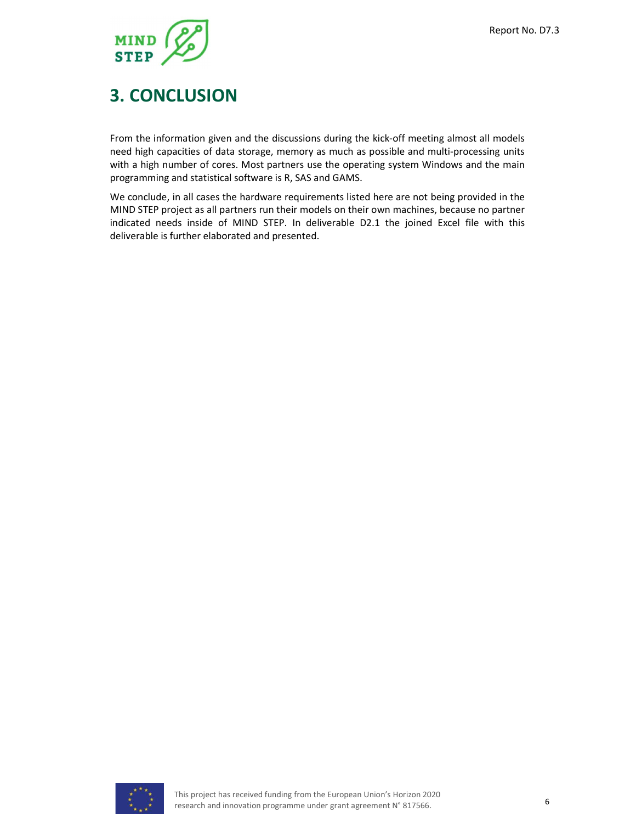

# 3. CONCLUSION

From the information given and the discussions during the kick-off meeting almost all models need high capacities of data storage, memory as much as possible and multi-processing units with a high number of cores. Most partners use the operating system Windows and the main programming and statistical software is R, SAS and GAMS.

We conclude, in all cases the hardware requirements listed here are not being provided in the MIND STEP project as all partners run their models on their own machines, because no partner indicated needs inside of MIND STEP. In deliverable D2.1 the joined Excel file with this deliverable is further elaborated and presented.

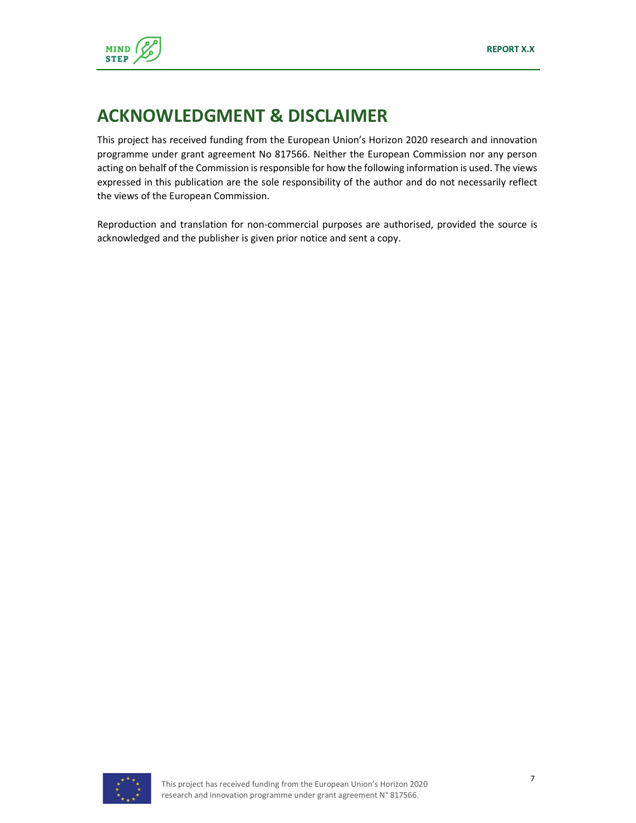

# ACKNOWLEDGMENT & DISCLAIMER

This project has received funding from the European Union's Horizon 2020 research and innovation programme under grant agreement No 817566. Neither the European Commission nor any person acting on behalf of the Commission is responsible for how the following information is used. The views expressed in this publication are the sole responsibility of the author and do not necessarily reflect the views of the European Commission.

Reproduction and translation for non-commercial purposes are authorised, provided the source is acknowledged and the publisher is given prior notice and sent a copy.